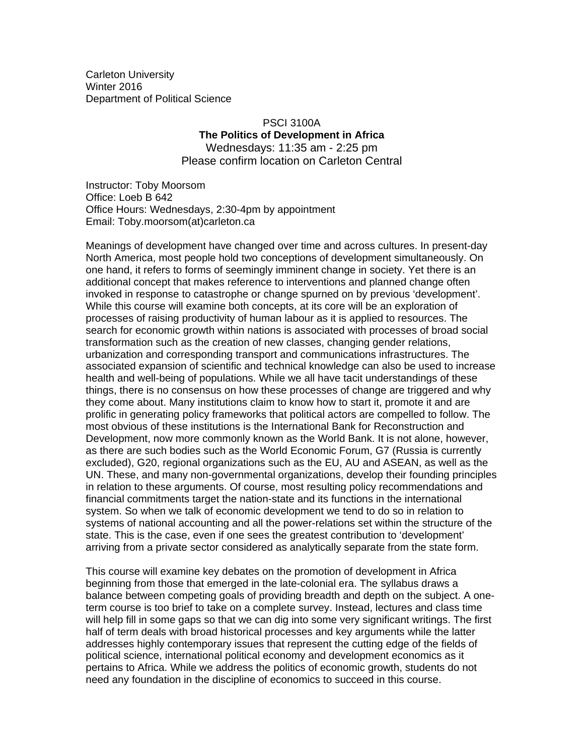Carleton University Winter 2016 Department of Political Science

# PSCI 3100A **The Politics of Development in Africa**  Wednesdays: 11:35 am - 2:25 pm Please confirm location on Carleton Central

Instructor: Toby Moorsom Office: Loeb B 642 Office Hours: Wednesdays, 2:30-4pm by appointment Email: Toby.moorsom(at)carleton.ca

Meanings of development have changed over time and across cultures. In present-day North America, most people hold two conceptions of development simultaneously. On one hand, it refers to forms of seemingly imminent change in society. Yet there is an additional concept that makes reference to interventions and planned change often invoked in response to catastrophe or change spurned on by previous 'development'. While this course will examine both concepts, at its core will be an exploration of processes of raising productivity of human labour as it is applied to resources. The search for economic growth within nations is associated with processes of broad social transformation such as the creation of new classes, changing gender relations, urbanization and corresponding transport and communications infrastructures. The associated expansion of scientific and technical knowledge can also be used to increase health and well-being of populations. While we all have tacit understandings of these things, there is no consensus on how these processes of change are triggered and why they come about. Many institutions claim to know how to start it, promote it and are prolific in generating policy frameworks that political actors are compelled to follow. The most obvious of these institutions is the International Bank for Reconstruction and Development, now more commonly known as the World Bank. It is not alone, however, as there are such bodies such as the World Economic Forum, G7 (Russia is currently excluded), G20, regional organizations such as the EU, AU and ASEAN, as well as the UN. These, and many non-governmental organizations, develop their founding principles in relation to these arguments. Of course, most resulting policy recommendations and financial commitments target the nation-state and its functions in the international system. So when we talk of economic development we tend to do so in relation to systems of national accounting and all the power-relations set within the structure of the state. This is the case, even if one sees the greatest contribution to 'development' arriving from a private sector considered as analytically separate from the state form.

This course will examine key debates on the promotion of development in Africa beginning from those that emerged in the late-colonial era. The syllabus draws a balance between competing goals of providing breadth and depth on the subject. A oneterm course is too brief to take on a complete survey. Instead, lectures and class time will help fill in some gaps so that we can dig into some very significant writings. The first half of term deals with broad historical processes and key arguments while the latter addresses highly contemporary issues that represent the cutting edge of the fields of political science, international political economy and development economics as it pertains to Africa. While we address the politics of economic growth, students do not need any foundation in the discipline of economics to succeed in this course.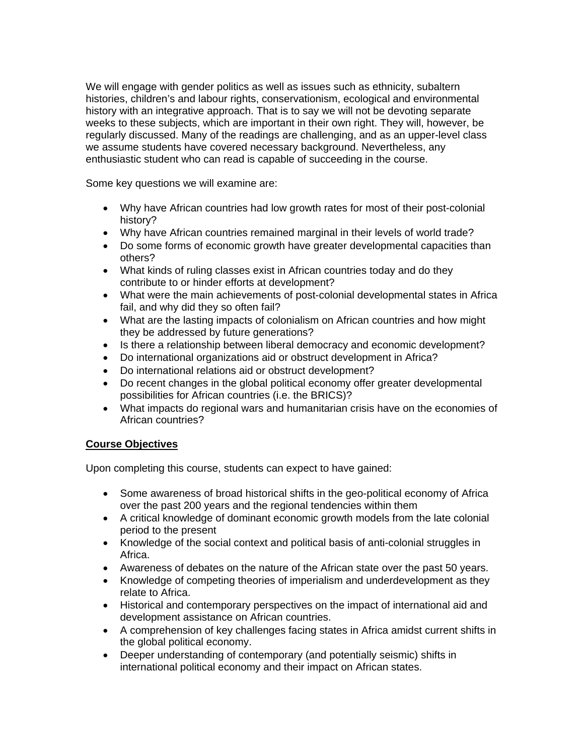We will engage with gender politics as well as issues such as ethnicity, subaltern histories, children's and labour rights, conservationism, ecological and environmental history with an integrative approach. That is to say we will not be devoting separate weeks to these subjects, which are important in their own right. They will, however, be regularly discussed. Many of the readings are challenging, and as an upper-level class we assume students have covered necessary background. Nevertheless, any enthusiastic student who can read is capable of succeeding in the course.

Some key questions we will examine are:

- Why have African countries had low growth rates for most of their post-colonial history?
- Why have African countries remained marginal in their levels of world trade?
- Do some forms of economic growth have greater developmental capacities than others?
- What kinds of ruling classes exist in African countries today and do they contribute to or hinder efforts at development?
- What were the main achievements of post-colonial developmental states in Africa fail, and why did they so often fail?
- What are the lasting impacts of colonialism on African countries and how might they be addressed by future generations?
- Is there a relationship between liberal democracy and economic development?
- Do international organizations aid or obstruct development in Africa?
- Do international relations aid or obstruct development?
- Do recent changes in the global political economy offer greater developmental possibilities for African countries (i.e. the BRICS)?
- What impacts do regional wars and humanitarian crisis have on the economies of African countries?

# **Course Objectives**

Upon completing this course, students can expect to have gained:

- Some awareness of broad historical shifts in the geo-political economy of Africa over the past 200 years and the regional tendencies within them
- A critical knowledge of dominant economic growth models from the late colonial period to the present
- Knowledge of the social context and political basis of anti-colonial struggles in Africa.
- Awareness of debates on the nature of the African state over the past 50 years.
- Knowledge of competing theories of imperialism and underdevelopment as they relate to Africa.
- Historical and contemporary perspectives on the impact of international aid and development assistance on African countries.
- A comprehension of key challenges facing states in Africa amidst current shifts in the global political economy.
- Deeper understanding of contemporary (and potentially seismic) shifts in international political economy and their impact on African states.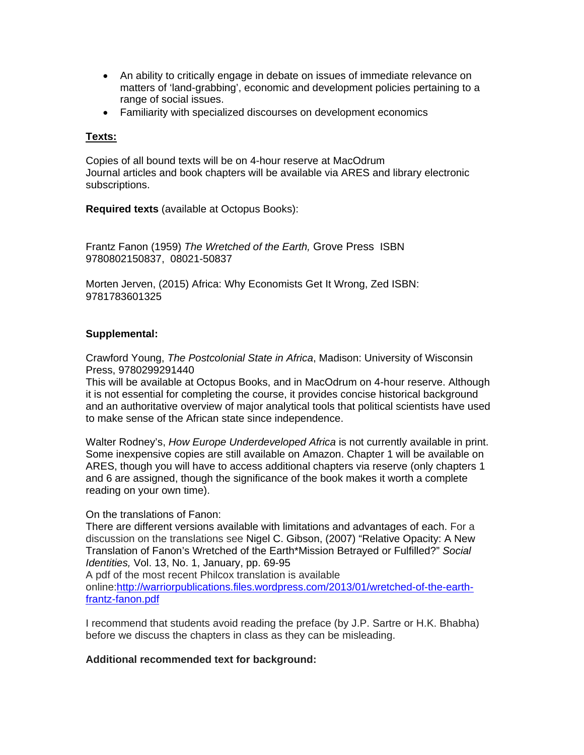- An ability to critically engage in debate on issues of immediate relevance on matters of 'land-grabbing', economic and development policies pertaining to a range of social issues.
- Familiarity with specialized discourses on development economics

#### **Texts:**

Copies of all bound texts will be on 4-hour reserve at MacOdrum Journal articles and book chapters will be available via ARES and library electronic subscriptions.

**Required texts** (available at Octopus Books):

Frantz Fanon (1959) *The Wretched of the Earth,* Grove Press ISBN 9780802150837, 08021-50837

Morten Jerven, (2015) Africa: Why Economists Get It Wrong, Zed ISBN: 9781783601325

## **Supplemental:**

Crawford Young, *The Postcolonial State in Africa*, Madison: University of Wisconsin Press, 9780299291440

This will be available at Octopus Books, and in MacOdrum on 4-hour reserve. Although it is not essential for completing the course, it provides concise historical background and an authoritative overview of major analytical tools that political scientists have used to make sense of the African state since independence.

Walter Rodney's, *How Europe Underdeveloped Africa* is not currently available in print. Some inexpensive copies are still available on Amazon. Chapter 1 will be available on ARES, though you will have to access additional chapters via reserve (only chapters 1 and 6 are assigned, though the significance of the book makes it worth a complete reading on your own time).

#### On the translations of Fanon:

There are different versions available with limitations and advantages of each. For a discussion on the translations see Nigel C. Gibson, (2007) "Relative Opacity: A New Translation of Fanon's Wretched of the Earth\*Mission Betrayed or Fulfilled?" *Social Identities,* Vol. 13, No. 1, January, pp. 69-95

A pdf of the most recent Philcox translation is available

online:http://warriorpublications.files.wordpress.com/2013/01/wretched-of-the-earthfrantz-fanon.pdf

I recommend that students avoid reading the preface (by J.P. Sartre or H.K. Bhabha) before we discuss the chapters in class as they can be misleading.

#### **Additional recommended text for background:**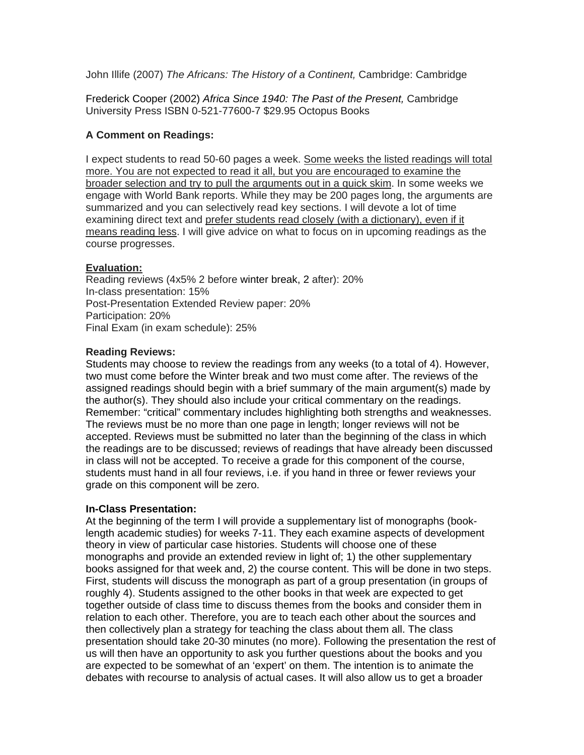John Illife (2007) *The Africans: The History of a Continent,* Cambridge: Cambridge

Frederick Cooper (2002) *Africa Since 1940: The Past of the Present,* Cambridge University Press ISBN 0-521-77600-7 \$29.95 Octopus Books

# **A Comment on Readings:**

I expect students to read 50-60 pages a week. Some weeks the listed readings will total more. You are not expected to read it all, but you are encouraged to examine the broader selection and try to pull the arguments out in a quick skim. In some weeks we engage with World Bank reports. While they may be 200 pages long, the arguments are summarized and you can selectively read key sections. I will devote a lot of time examining direct text and prefer students read closely (with a dictionary), even if it means reading less. I will give advice on what to focus on in upcoming readings as the course progresses.

# **Evaluation:**

Reading reviews (4x5% 2 before winter break, 2 after): 20% In-class presentation: 15% Post-Presentation Extended Review paper: 20% Participation: 20% Final Exam (in exam schedule): 25%

# **Reading Reviews:**

Students may choose to review the readings from any weeks (to a total of 4). However, two must come before the Winter break and two must come after. The reviews of the assigned readings should begin with a brief summary of the main argument(s) made by the author(s). They should also include your critical commentary on the readings. Remember: "critical" commentary includes highlighting both strengths and weaknesses. The reviews must be no more than one page in length; longer reviews will not be accepted. Reviews must be submitted no later than the beginning of the class in which the readings are to be discussed; reviews of readings that have already been discussed in class will not be accepted. To receive a grade for this component of the course, students must hand in all four reviews, i.e. if you hand in three or fewer reviews your grade on this component will be zero.

# **In-Class Presentation:**

At the beginning of the term I will provide a supplementary list of monographs (booklength academic studies) for weeks 7-11. They each examine aspects of development theory in view of particular case histories. Students will choose one of these monographs and provide an extended review in light of; 1) the other supplementary books assigned for that week and, 2) the course content. This will be done in two steps. First, students will discuss the monograph as part of a group presentation (in groups of roughly 4). Students assigned to the other books in that week are expected to get together outside of class time to discuss themes from the books and consider them in relation to each other. Therefore, you are to teach each other about the sources and then collectively plan a strategy for teaching the class about them all. The class presentation should take 20-30 minutes (no more). Following the presentation the rest of us will then have an opportunity to ask you further questions about the books and you are expected to be somewhat of an 'expert' on them. The intention is to animate the debates with recourse to analysis of actual cases. It will also allow us to get a broader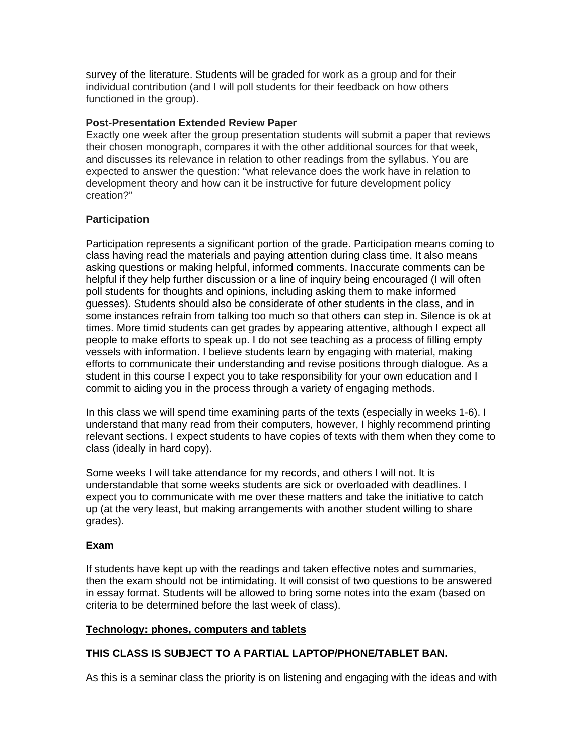survey of the literature. Students will be graded for work as a group and for their individual contribution (and I will poll students for their feedback on how others functioned in the group).

#### **Post-Presentation Extended Review Paper**

Exactly one week after the group presentation students will submit a paper that reviews their chosen monograph, compares it with the other additional sources for that week, and discusses its relevance in relation to other readings from the syllabus. You are expected to answer the question: "what relevance does the work have in relation to development theory and how can it be instructive for future development policy creation?"

# **Participation**

Participation represents a significant portion of the grade. Participation means coming to class having read the materials and paying attention during class time. It also means asking questions or making helpful, informed comments. Inaccurate comments can be helpful if they help further discussion or a line of inquiry being encouraged (I will often poll students for thoughts and opinions, including asking them to make informed guesses). Students should also be considerate of other students in the class, and in some instances refrain from talking too much so that others can step in. Silence is ok at times. More timid students can get grades by appearing attentive, although I expect all people to make efforts to speak up. I do not see teaching as a process of filling empty vessels with information. I believe students learn by engaging with material, making efforts to communicate their understanding and revise positions through dialogue. As a student in this course I expect you to take responsibility for your own education and I commit to aiding you in the process through a variety of engaging methods.

In this class we will spend time examining parts of the texts (especially in weeks 1-6). I understand that many read from their computers, however, I highly recommend printing relevant sections. I expect students to have copies of texts with them when they come to class (ideally in hard copy).

Some weeks I will take attendance for my records, and others I will not. It is understandable that some weeks students are sick or overloaded with deadlines. I expect you to communicate with me over these matters and take the initiative to catch up (at the very least, but making arrangements with another student willing to share grades).

# **Exam**

If students have kept up with the readings and taken effective notes and summaries, then the exam should not be intimidating. It will consist of two questions to be answered in essay format. Students will be allowed to bring some notes into the exam (based on criteria to be determined before the last week of class).

# **Technology: phones, computers and tablets**

# **THIS CLASS IS SUBJECT TO A PARTIAL LAPTOP/PHONE/TABLET BAN.**

As this is a seminar class the priority is on listening and engaging with the ideas and with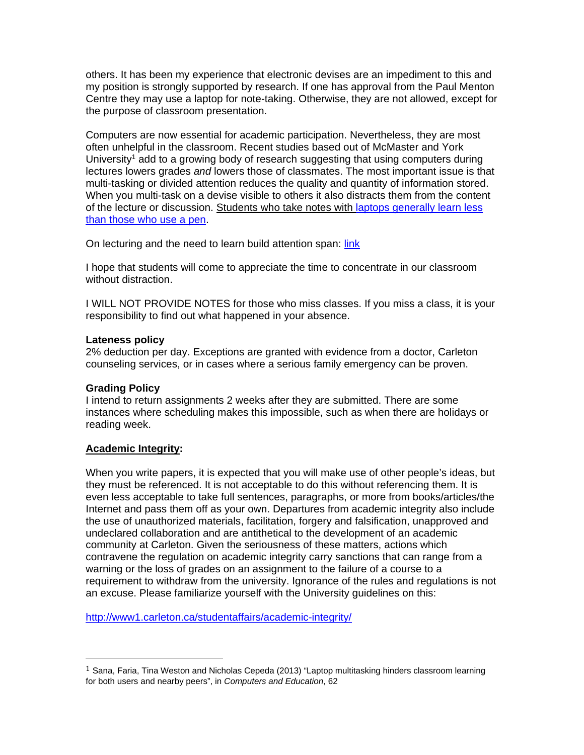others. It has been my experience that electronic devises are an impediment to this and my position is strongly supported by research. If one has approval from the Paul Menton Centre they may use a laptop for note-taking. Otherwise, they are not allowed, except for the purpose of classroom presentation.

Computers are now essential for academic participation. Nevertheless, they are most often unhelpful in the classroom. Recent studies based out of McMaster and York University<sup>1</sup> add to a growing body of research suggesting that using computers during lectures lowers grades *and* lowers those of classmates. The most important issue is that multi-tasking or divided attention reduces the quality and quantity of information stored. When you multi-task on a devise visible to others it also distracts them from the content of the lecture or discussion. Students who take notes with laptops generally learn less than those who use a pen.

On lecturing and the need to learn build attention span: link

I hope that students will come to appreciate the time to concentrate in our classroom without distraction.

I WILL NOT PROVIDE NOTES for those who miss classes. If you miss a class, it is your responsibility to find out what happened in your absence.

## **Lateness policy**

2% deduction per day. Exceptions are granted with evidence from a doctor, Carleton counseling services, or in cases where a serious family emergency can be proven.

# **Grading Policy**

I intend to return assignments 2 weeks after they are submitted. There are some instances where scheduling makes this impossible, such as when there are holidays or reading week.

#### **Academic Integrity:**

 

When you write papers, it is expected that you will make use of other people's ideas, but they must be referenced. It is not acceptable to do this without referencing them. It is even less acceptable to take full sentences, paragraphs, or more from books/articles/the Internet and pass them off as your own. Departures from academic integrity also include the use of unauthorized materials, facilitation, forgery and falsification, unapproved and undeclared collaboration and are antithetical to the development of an academic community at Carleton. Given the seriousness of these matters, actions which contravene the regulation on academic integrity carry sanctions that can range from a warning or the loss of grades on an assignment to the failure of a course to a requirement to withdraw from the university. Ignorance of the rules and regulations is not an excuse. Please familiarize yourself with the University guidelines on this:

http://www1.carleton.ca/studentaffairs/academic-integrity/

 $1$  Sana, Faria, Tina Weston and Nicholas Cepeda (2013) "Laptop multitasking hinders classroom learning for both users and nearby peers", in *Computers and Education*, 62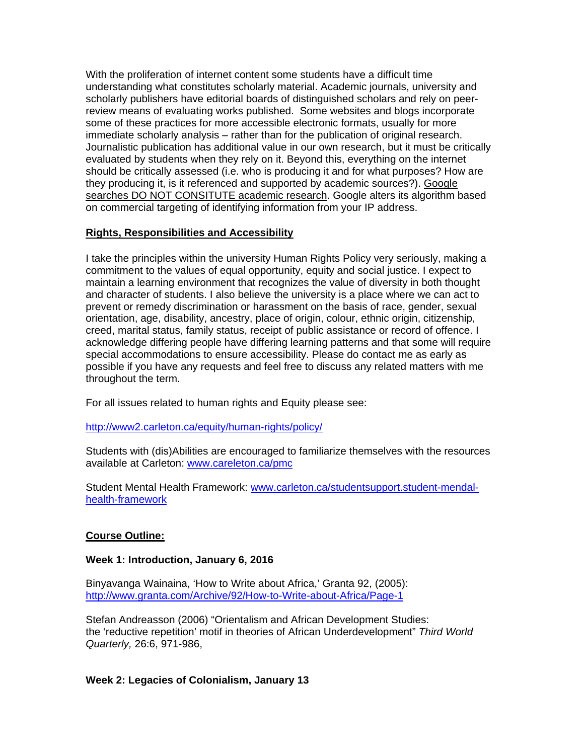With the proliferation of internet content some students have a difficult time understanding what constitutes scholarly material. Academic journals, university and scholarly publishers have editorial boards of distinguished scholars and rely on peerreview means of evaluating works published. Some websites and blogs incorporate some of these practices for more accessible electronic formats, usually for more immediate scholarly analysis – rather than for the publication of original research. Journalistic publication has additional value in our own research, but it must be critically evaluated by students when they rely on it. Beyond this, everything on the internet should be critically assessed (i.e. who is producing it and for what purposes? How are they producing it, is it referenced and supported by academic sources?). Google searches DO NOT CONSITUTE academic research. Google alters its algorithm based on commercial targeting of identifying information from your IP address.

# **Rights, Responsibilities and Accessibility**

I take the principles within the university Human Rights Policy very seriously, making a commitment to the values of equal opportunity, equity and social justice. I expect to maintain a learning environment that recognizes the value of diversity in both thought and character of students. I also believe the university is a place where we can act to prevent or remedy discrimination or harassment on the basis of race, gender, sexual orientation, age, disability, ancestry, place of origin, colour, ethnic origin, citizenship, creed, marital status, family status, receipt of public assistance or record of offence. I acknowledge differing people have differing learning patterns and that some will require special accommodations to ensure accessibility. Please do contact me as early as possible if you have any requests and feel free to discuss any related matters with me throughout the term.

For all issues related to human rights and Equity please see:

http://www2.carleton.ca/equity/human-rights/policy/

Students with (dis)Abilities are encouraged to familiarize themselves with the resources available at Carleton: www.careleton.ca/pmc

Student Mental Health Framework: www.carleton.ca/studentsupport.student-mendalhealth-framework

# **Course Outline:**

# **Week 1: Introduction, January 6, 2016**

Binyavanga Wainaina, 'How to Write about Africa,' Granta 92, (2005): http://www.granta.com/Archive/92/How-to-Write-about-Africa/Page-1

Stefan Andreasson (2006) "Orientalism and African Development Studies: the 'reductive repetition' motif in theories of African Underdevelopment" *Third World Quarterly,* 26:6, 971-986,

# **Week 2: Legacies of Colonialism, January 13**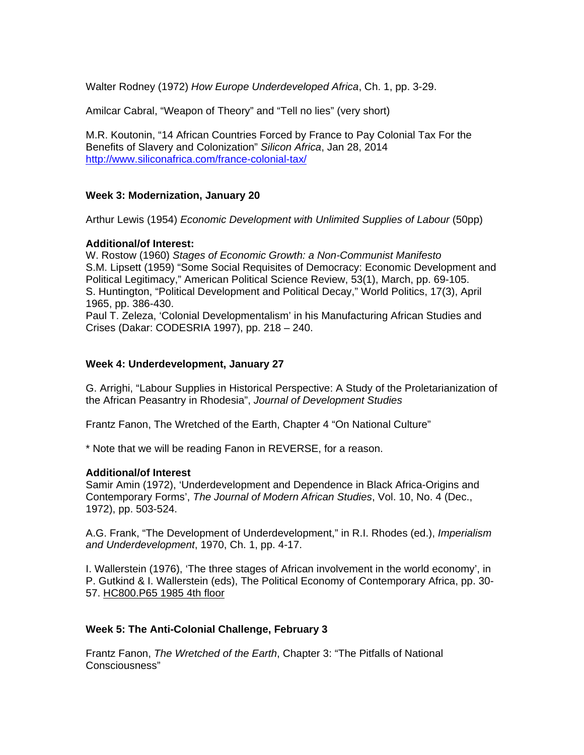Walter Rodney (1972) *How Europe Underdeveloped Africa*, Ch. 1, pp. 3-29.

Amilcar Cabral, "Weapon of Theory" and "Tell no lies" (very short)

M.R. Koutonin, "14 African Countries Forced by France to Pay Colonial Tax For the Benefits of Slavery and Colonization" *Silicon Africa*, Jan 28, 2014 http://www.siliconafrica.com/france-colonial-tax/

## **Week 3: Modernization, January 20**

Arthur Lewis (1954) *Economic Development with Unlimited Supplies of Labour* (50pp)

## **Additional/of Interest:**

W. Rostow (1960) *Stages of Economic Growth: a Non-Communist Manifesto* S.M. Lipsett (1959) "Some Social Requisites of Democracy: Economic Development and Political Legitimacy," American Political Science Review, 53(1), March, pp. 69-105. S. Huntington, "Political Development and Political Decay," World Politics, 17(3), April 1965, pp. 386-430.

Paul T. Zeleza, 'Colonial Developmentalism' in his Manufacturing African Studies and Crises (Dakar: CODESRIA 1997), pp. 218 – 240.

## **Week 4: Underdevelopment, January 27**

G. Arrighi, "Labour Supplies in Historical Perspective: A Study of the Proletarianization of the African Peasantry in Rhodesia", *Journal of Development Studies* 

Frantz Fanon, The Wretched of the Earth, Chapter 4 "On National Culture"

\* Note that we will be reading Fanon in REVERSE, for a reason.

#### **Additional/of Interest**

Samir Amin (1972), 'Underdevelopment and Dependence in Black Africa-Origins and Contemporary Forms', *The Journal of Modern African Studies*, Vol. 10, No. 4 (Dec., 1972), pp. 503-524.

A.G. Frank, "The Development of Underdevelopment," in R.I. Rhodes (ed.), *Imperialism and Underdevelopment*, 1970, Ch. 1, pp. 4-17.

I. Wallerstein (1976), 'The three stages of African involvement in the world economy', in P. Gutkind & I. Wallerstein (eds), The Political Economy of Contemporary Africa, pp. 30- 57. HC800.P65 1985 4th floor

# **Week 5: The Anti-Colonial Challenge, February 3**

Frantz Fanon, *The Wretched of the Earth*, Chapter 3: "The Pitfalls of National Consciousness"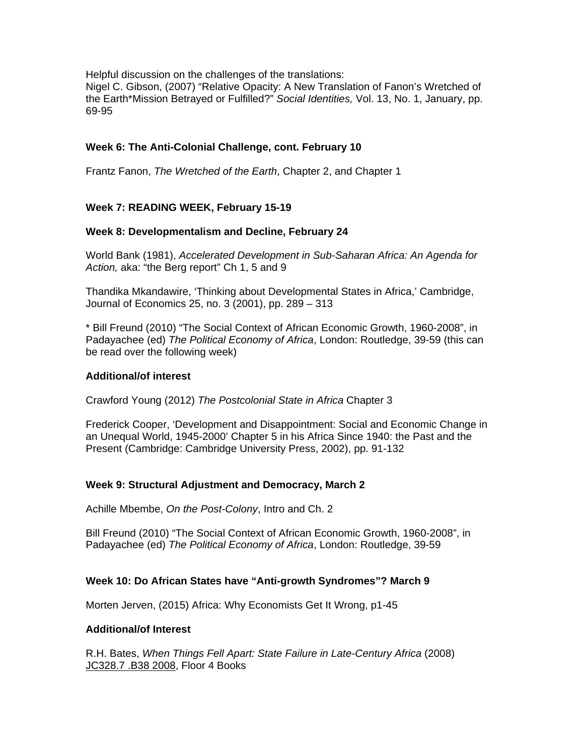Helpful discussion on the challenges of the translations:

Nigel C. Gibson, (2007) "Relative Opacity: A New Translation of Fanon's Wretched of the Earth\*Mission Betrayed or Fulfilled?" *Social Identities,* Vol. 13, No. 1, January, pp. 69-95

# **Week 6: The Anti-Colonial Challenge, cont. February 10**

Frantz Fanon, *The Wretched of the Earth*, Chapter 2, and Chapter 1

# **Week 7: READING WEEK, February 15-19**

## **Week 8: Developmentalism and Decline, February 24**

World Bank (1981), *Accelerated Development in Sub-Saharan Africa: An Agenda for Action,* aka: "the Berg report" Ch 1, 5 and 9

Thandika Mkandawire, 'Thinking about Developmental States in Africa,' Cambridge, Journal of Economics 25, no. 3 (2001), pp. 289 – 313

\* Bill Freund (2010) "The Social Context of African Economic Growth, 1960-2008", in Padayachee (ed) *The Political Economy of Africa*, London: Routledge, 39-59 (this can be read over the following week)

#### **Additional/of interest**

Crawford Young (2012) *The Postcolonial State in Africa* Chapter 3

Frederick Cooper, 'Development and Disappointment: Social and Economic Change in an Unequal World, 1945-2000' Chapter 5 in his Africa Since 1940: the Past and the Present (Cambridge: Cambridge University Press, 2002), pp. 91-132

# **Week 9: Structural Adjustment and Democracy, March 2**

Achille Mbembe, *On the Post-Colony*, Intro and Ch. 2

Bill Freund (2010) "The Social Context of African Economic Growth, 1960-2008", in Padayachee (ed) *The Political Economy of Africa*, London: Routledge, 39-59

# **Week 10: Do African States have "Anti-growth Syndromes"? March 9**

Morten Jerven, (2015) Africa: Why Economists Get It Wrong, p1-45

#### **Additional/of Interest**

R.H. Bates, *When Things Fell Apart: State Failure in Late-Century Africa* (2008) JC328.7 .B38 2008, Floor 4 Books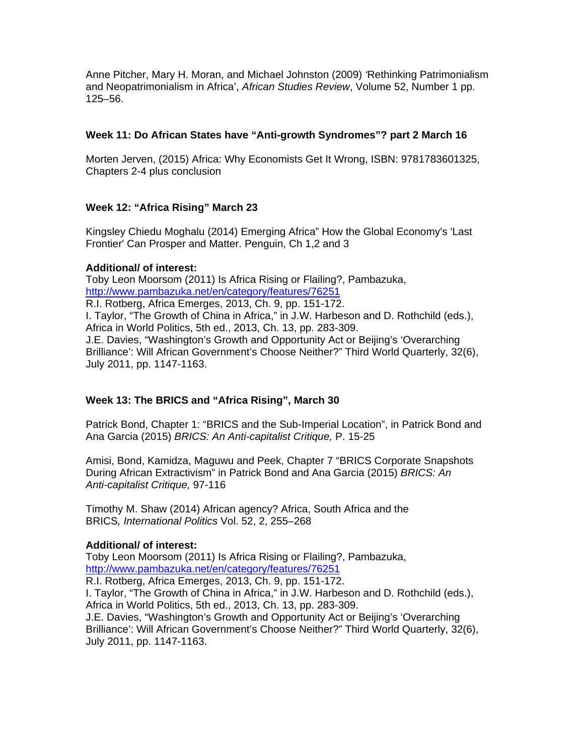Anne Pitcher, Mary H. Moran, and Michael Johnston (2009) *'*Rethinking Patrimonialism and Neopatrimonialism in Africa', *African Studies Review*, Volume 52, Number 1 pp. 125–56.

## **Week 11: Do African States have "Anti-growth Syndromes"? part 2 March 16**

Morten Jerven, (2015) Africa: Why Economists Get It Wrong, ISBN: 9781783601325, Chapters 2-4 plus conclusion

# **Week 12: "Africa Rising" March 23**

Kingsley Chiedu Moghalu (2014) Emerging Africa" How the Global Economy's 'Last Frontier' Can Prosper and Matter. Penguin, Ch 1,2 and 3

## **Additional/ of interest:**

Toby Leon Moorsom (2011) Is Africa Rising or Flailing?, Pambazuka, http://www.pambazuka.net/en/category/features/76251 R.I. Rotberg, Africa Emerges, 2013, Ch. 9, pp. 151-172. I. Taylor, "The Growth of China in Africa," in J.W. Harbeson and D. Rothchild (eds.), Africa in World Politics, 5th ed., 2013, Ch. 13, pp. 283-309. J.E. Davies, "Washington's Growth and Opportunity Act or Beijing's 'Overarching Brilliance': Will African Government's Choose Neither?" Third World Quarterly, 32(6), July 2011, pp. 1147-1163.

# **Week 13: The BRICS and "Africa Rising", March 30**

Patrick Bond, Chapter 1: "BRICS and the Sub-Imperial Location", in Patrick Bond and Ana Garcia (2015) *BRICS: An Anti-capitalist Critique,* P. 15-25

Amisi, Bond, Kamidza, Maguwu and Peek, Chapter 7 "BRICS Corporate Snapshots During African Extractivism" in Patrick Bond and Ana Garcia (2015) *BRICS: An Anti-capitalist Critique,* 97-116

Timothy M. Shaw (2014) African agency? Africa, South Africa and the BRICS*, International Politics* Vol. 52, 2, 255–268

# **Additional/ of interest:**

Toby Leon Moorsom (2011) Is Africa Rising or Flailing?, Pambazuka, http://www.pambazuka.net/en/category/features/76251

R.I. Rotberg, Africa Emerges, 2013, Ch. 9, pp. 151-172.

I. Taylor, "The Growth of China in Africa," in J.W. Harbeson and D. Rothchild (eds.), Africa in World Politics, 5th ed., 2013, Ch. 13, pp. 283-309.

J.E. Davies, "Washington's Growth and Opportunity Act or Beijing's 'Overarching Brilliance': Will African Government's Choose Neither?" Third World Quarterly, 32(6), July 2011, pp. 1147-1163.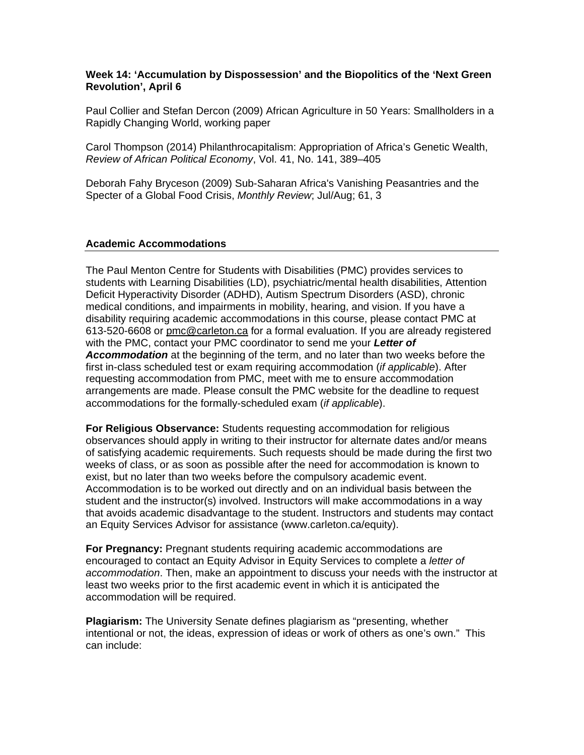## **Week 14: 'Accumulation by Dispossession' and the Biopolitics of the 'Next Green Revolution', April 6**

Paul Collier and Stefan Dercon (2009) African Agriculture in 50 Years: Smallholders in a Rapidly Changing World, working paper

Carol Thompson (2014) Philanthrocapitalism: Appropriation of Africa's Genetic Wealth, *Review of African Political Economy*, Vol. 41, No. 141, 389–405

Deborah Fahy Bryceson (2009) Sub-Saharan Africa's Vanishing Peasantries and the Specter of a Global Food Crisis, *Monthly Review*; Jul/Aug; 61, 3

#### **Academic Accommodations**

The Paul Menton Centre for Students with Disabilities (PMC) provides services to students with Learning Disabilities (LD), psychiatric/mental health disabilities, Attention Deficit Hyperactivity Disorder (ADHD), Autism Spectrum Disorders (ASD), chronic medical conditions, and impairments in mobility, hearing, and vision. If you have a disability requiring academic accommodations in this course, please contact PMC at 613-520-6608 or pmc@carleton.ca for a formal evaluation. If you are already registered with the PMC, contact your PMC coordinator to send me your *Letter of Accommodation* at the beginning of the term, and no later than two weeks before the first in-class scheduled test or exam requiring accommodation (*if applicable*). After requesting accommodation from PMC, meet with me to ensure accommodation arrangements are made. Please consult the PMC website for the deadline to request accommodations for the formally-scheduled exam (*if applicable*).

**For Religious Observance:** Students requesting accommodation for religious observances should apply in writing to their instructor for alternate dates and/or means of satisfying academic requirements. Such requests should be made during the first two weeks of class, or as soon as possible after the need for accommodation is known to exist, but no later than two weeks before the compulsory academic event. Accommodation is to be worked out directly and on an individual basis between the student and the instructor(s) involved. Instructors will make accommodations in a way that avoids academic disadvantage to the student. Instructors and students may contact an Equity Services Advisor for assistance (www.carleton.ca/equity).

**For Pregnancy:** Pregnant students requiring academic accommodations are encouraged to contact an Equity Advisor in Equity Services to complete a *letter of accommodation*. Then, make an appointment to discuss your needs with the instructor at least two weeks prior to the first academic event in which it is anticipated the accommodation will be required.

**Plagiarism:** The University Senate defines plagiarism as "presenting, whether intentional or not, the ideas, expression of ideas or work of others as one's own." This can include: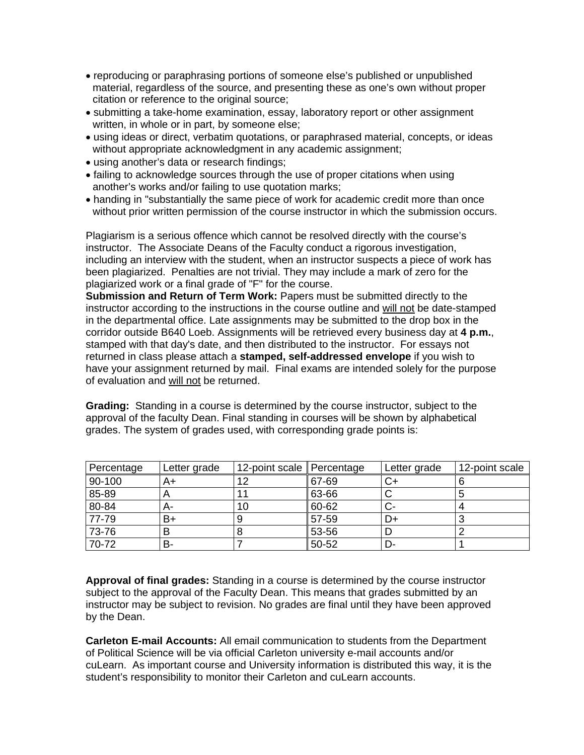- reproducing or paraphrasing portions of someone else's published or unpublished material, regardless of the source, and presenting these as one's own without proper citation or reference to the original source;
- submitting a take-home examination, essay, laboratory report or other assignment written, in whole or in part, by someone else;
- using ideas or direct, verbatim quotations, or paraphrased material, concepts, or ideas without appropriate acknowledgment in any academic assignment;
- using another's data or research findings;
- failing to acknowledge sources through the use of proper citations when using another's works and/or failing to use quotation marks;
- handing in "substantially the same piece of work for academic credit more than once without prior written permission of the course instructor in which the submission occurs.

Plagiarism is a serious offence which cannot be resolved directly with the course's instructor. The Associate Deans of the Faculty conduct a rigorous investigation, including an interview with the student, when an instructor suspects a piece of work has been plagiarized. Penalties are not trivial. They may include a mark of zero for the plagiarized work or a final grade of "F" for the course.

**Submission and Return of Term Work:** Papers must be submitted directly to the instructor according to the instructions in the course outline and will not be date-stamped in the departmental office. Late assignments may be submitted to the drop box in the corridor outside B640 Loeb. Assignments will be retrieved every business day at **4 p.m.**, stamped with that day's date, and then distributed to the instructor. For essays not returned in class please attach a **stamped, self-addressed envelope** if you wish to have your assignment returned by mail. Final exams are intended solely for the purpose of evaluation and will not be returned.

**Grading:** Standing in a course is determined by the course instructor, subject to the approval of the faculty Dean. Final standing in courses will be shown by alphabetical grades. The system of grades used, with corresponding grade points is:

| Percentage | Letter grade | 12-point scale Percentage |       | Letter grade | 12-point scale |
|------------|--------------|---------------------------|-------|--------------|----------------|
| 90-100     | A+           | 12                        | 67-69 | ◡+           |                |
| 85-89      |              | 11                        | 63-66 |              |                |
| 80-84      | А-           | 10                        | 60-62 |              |                |
| 77-79      | B+           |                           | 57-59 | D+           |                |
| 73-76      |              |                           | 53-56 |              |                |
| 70-72      | в-           |                           | 50-52 | D-           |                |

**Approval of final grades:** Standing in a course is determined by the course instructor subject to the approval of the Faculty Dean. This means that grades submitted by an instructor may be subject to revision. No grades are final until they have been approved by the Dean.

**Carleton E-mail Accounts:** All email communication to students from the Department of Political Science will be via official Carleton university e-mail accounts and/or cuLearn. As important course and University information is distributed this way, it is the student's responsibility to monitor their Carleton and cuLearn accounts.